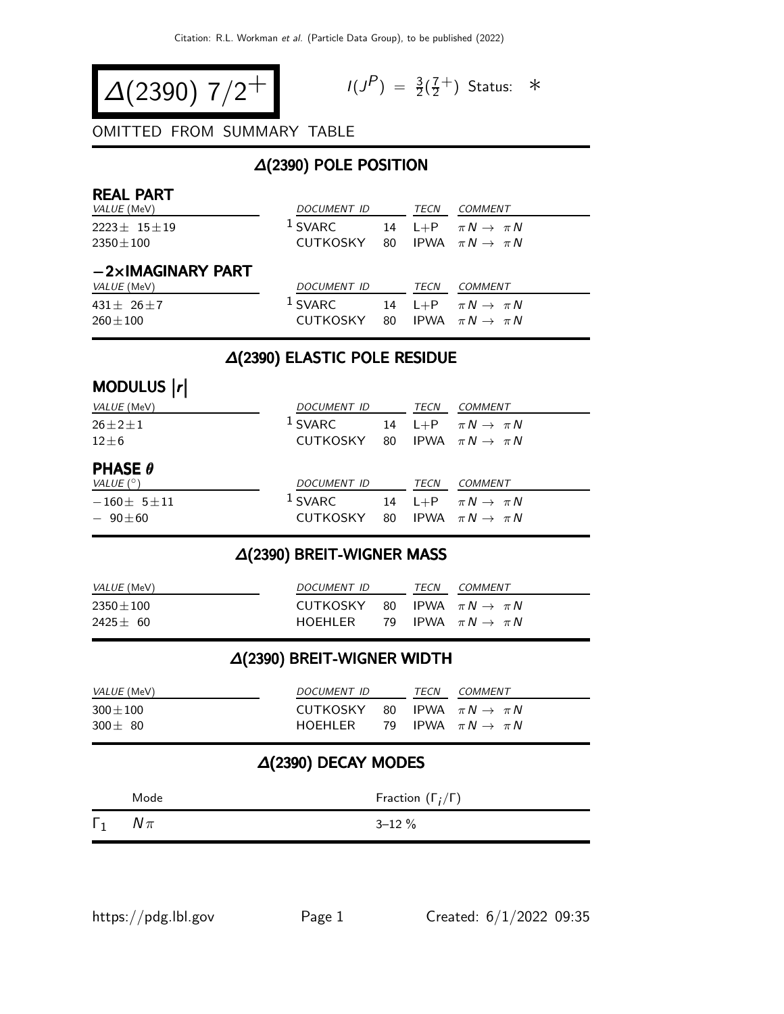$$
\Delta(2390) \frac{7}{2} + 10^{10}
$$

$$
I(J^P) = \frac{3}{2}(\frac{7}{2}^+)
$$
 Status:  $*$ 

#### OMITTED FROM SUMMARY TABLE

# ∆(2390) POLE POSITION

| <b>REAL PART</b><br><i>VALUE</i> (MeV)          | <i>DOCUMENT ID</i>                |    | TECN    | COMMENT                                                           |
|-------------------------------------------------|-----------------------------------|----|---------|-------------------------------------------------------------------|
| $2223 \pm 15 \pm 19$<br>$2350 \pm 100$          | <sup>1</sup> SVARC<br>CUTKOSKY 80 | 14 |         | $L+P$ $\pi N \rightarrow \pi N$<br>IPWA $\pi N \rightarrow \pi N$ |
| $-2\times$ IMAGINARY PART<br><i>VALUE</i> (MeV) | <b>DOCUMENT ID</b>                |    | TECN    | COMMENT                                                           |
| 431 $\pm$ 26 $\pm$ 7<br>$260 \pm 100$           | <sup>1</sup> SVARC<br>CUTKOSKY 80 | 14 | $L + P$ | $\pi N \rightarrow \pi N$<br>IPWA $\pi N \rightarrow \pi N$       |

#### ∆(2390) ELASTIC POLE RESIDUE

# MODULUS |r|

| <i>VALUE</i> (MeV)                                   | DOCUMENT ID                                             | TECN | COMMENT                                                            |
|------------------------------------------------------|---------------------------------------------------------|------|--------------------------------------------------------------------|
| $26 \pm 2 \pm 1$<br>$12\pm 6$                        | $1$ SVARC<br>CUTKOSKY 80 IPWA $\pi N \rightarrow \pi N$ |      | 14 L+P $\pi N \rightarrow \pi N$                                   |
| <b>PHASE <math>\theta</math></b><br>VALUE $(^\circ)$ | DOCUMENT ID                                             | TECN | <i>COMMENT</i>                                                     |
| $-160 \pm 5 \pm 11$<br>$-90\pm 60$                   | $1$ SVARC<br>CUTKOSKY 80                                |      | 14 L+P $\pi N \rightarrow \pi N$<br>IPWA $\pi N \rightarrow \pi N$ |

#### ∆(2390) BREIT-WIGNER MASS

| <i>VALUE</i> (MeV) | <i>DOCUMENT ID</i> | <b>TFCN</b> | COMMENT                           |
|--------------------|--------------------|-------------|-----------------------------------|
| $2350\pm100$       | CUTKOSKY           |             | 80 IPWA $\pi N \rightarrow \pi N$ |
| $2425 \pm 60$      | HOFHI FR           |             | 79 IPWA $\pi N \rightarrow \pi N$ |

#### ∆(2390) BREIT-WIGNER WIDTH

| <i>VALUE</i> (MeV)            | DOCUMENT ID                                           | TECN | <i>COMMENT</i>                    |
|-------------------------------|-------------------------------------------------------|------|-----------------------------------|
| $300 \pm 100$<br>$300 \pm 80$ | CUTKOSKY<br>HOEHLER 79 IPWA $\pi N \rightarrow \pi N$ |      | 80 IPWA $\pi N \rightarrow \pi N$ |

#### ∆(2390) DECAY MODES

|            | Mode   | Fraction $(\Gamma_i/\Gamma)$ |  |  |
|------------|--------|------------------------------|--|--|
| $\Gamma_1$ | $N\pi$ | $3 - 12 \%$                  |  |  |